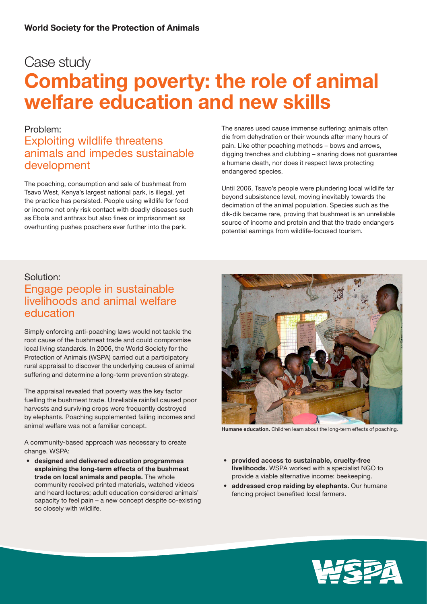# Case study Combating poverty: the role of animal welfare education and new skills

### Problem:

### Exploiting wildlife threatens animals and impedes sustainable development

The poaching, consumption and sale of bushmeat from Tsavo West, Kenya's largest national park, is illegal, yet the practice has persisted. People using wildlife for food or income not only risk contact with deadly diseases such as Ebola and anthrax but also fines or imprisonment as overhunting pushes poachers ever further into the park.

The snares used cause immense suffering; animals often die from dehydration or their wounds after many hours of pain. Like other poaching methods – bows and arrows, digging trenches and clubbing – snaring does not guarantee a humane death, nor does it respect laws protecting endangered species.

Until 2006, Tsavo's people were plundering local wildlife far beyond subsistence level, moving inevitably towards the decimation of the animal population. Species such as the dik-dik became rare, proving that bushmeat is an unreliable source of income and protein and that the trade endangers potential earnings from wildlife-focused tourism.

### Solution:

## Engage people in sustainable livelihoods and animal welfare education

Simply enforcing anti-poaching laws would not tackle the root cause of the bushmeat trade and could compromise local living standards. In 2006, the World Society for the Protection of Animals (WSPA) carried out a participatory rural appraisal to discover the underlying causes of animal suffering and determine a long-term prevention strategy.

The appraisal revealed that poverty was the key factor fuelling the bushmeat trade. Unreliable rainfall caused poor harvests and surviving crops were frequently destroyed by elephants. Poaching supplemented failing incomes and animal welfare was not a familiar concept.

A community-based approach was necessary to create change. WSPA:

• designed and delivered education programmes explaining the long-term effects of the bushmeat trade on local animals and people. The whole community received printed materials, watched videos and heard lectures; adult education considered animals' capacity to feel pain – a new concept despite co-existing so closely with wildlife.



Humane education. Children learn about the long-term effects of poaching.

- • provided access to sustainable, cruelty-free livelihoods. WSPA worked with a specialist NGO to provide a viable alternative income: beekeeping.
- addressed crop raiding by elephants. Our humane fencing project benefited local farmers.